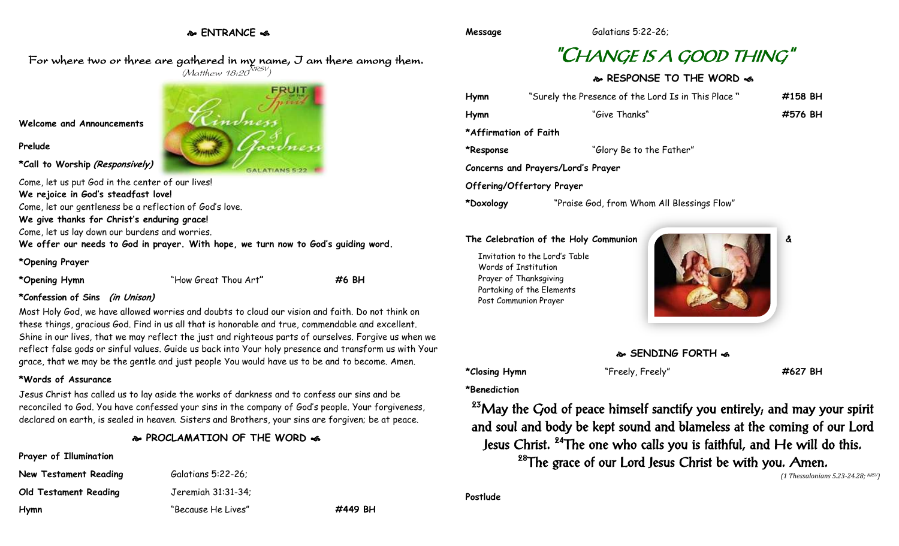**ENTRANCE** 

For where two or three are gathered in my name, I am there among them.  $(M$ atthew 18:20 $^{NRSV})$ 

**Welcome and Announcements**

**Prelude**

**\*Call to Worship (Responsively)**

GALATIANS 5:22

Come, let us put God in the center of our lives!

**We rejoice in God's steadfast love!**

Come, let our gentleness be a reflection of God's love.

**We give thanks for Christ's enduring grace!**

Come, let us lay down our burdens and worries.

**We offer our needs to God in prayer. With hope, we turn now to God's guiding word.**

#### **\*Opening Prayer**

**\*Opening Hymn** "How Great Thou Art**" #6 BH**

**\*Confession of Sins (in Unison)**

Most Holy God, we have allowed worries and doubts to cloud our vision and faith. Do not think on these things, gracious God. Find in us all that is honorable and true, commendable and excellent. Shine in our lives, that we may reflect the just and righteous parts of ourselves. Forgive us when we reflect false gods or sinful values. Guide us back into Your holy presence and transform us with Your grace, that we may be the gentle and just people You would have us to be and to become. Amen.

#### **\*Words of Assurance**

Jesus Christ has called us to lay aside the works of darkness and to confess our sins and be reconciled to God. You have confessed your sins in the company of God's people. Your forgiveness, declared on earth, is sealed in heaven. Sisters and Brothers, your sins are forgiven; be at peace.

## **PROCLAMATION OF THE WORD**

# **Prayer of Illumination**

| New Testament Reading | Galatians 5:22-26; |         |
|-----------------------|--------------------|---------|
| Old Testament Reading | Jeremiah 31:31-34: |         |
| Hymn                  | "Because He Lives" | #449 BH |

# "CHANGE IS A GOOD THING"

# **RESPONSE TO THE WORD**  $\omega$

| Hymn                  | "Surely the Presence of the Lord Is in This Place" | #158 BH |
|-----------------------|----------------------------------------------------|---------|
| Hymn                  | "Give Thanks"                                      | #576 BH |
|                       |                                                    |         |
| *Affirmation of Faith |                                                    |         |
| *Response             | "Glory Be to the Father"                           |         |
|                       | Concerns and Prayers/Lord's Prayer                 |         |
|                       | Offering/Offertory Prayer                          |         |
| *Doxology             | "Praise God, from Whom All Blessings Flow"         |         |

#### **The Celebration of the Holy Communion &**

Invitation to the Lord's Table Words of Institution Prayer of Thanksgiving Partaking of the Elements Post Communion Prayer



**SENDING FORTH**  $\cdot$ **6** 

**\*Closing Hymn** "Freely, Freely" **#627 BH**

**\*Benediction**

<sup>23</sup>May the God of peace himself sanctify you entirely, and may your spirit and soul and body be kept sound and blameless at the coming of our Lord Jesus Christ. <sup>24</sup>The one who calls you is faithful, and He will do this.  $28$ The grace of our Lord Jesus Christ be with you. Amen.

*(1 Thessalonians 5.23-24.28; NRSV)*

**Postlude**